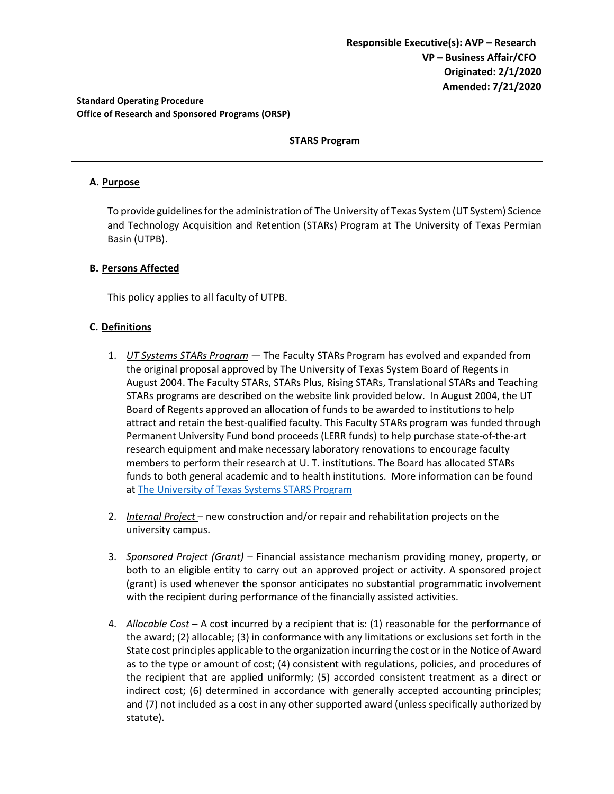### **Standard Operating Procedure Office of Research and Sponsored Programs (ORSP)**

## **STARS Program**

### **A. Purpose**

To provide guidelines for the administration of The University of Texas System (UT System) Science and Technology Acquisition and Retention (STARs) Program at The University of Texas Permian Basin (UTPB).

### **B. Persons Affected**

This policy applies to all faculty of UTPB.

### **C. Definitions**

- 1. *UT Systems STARs Program* The Faculty STARs Program has evolved and expanded from the original proposal approved by The University of Texas System Board of Regents in August 2004. The Faculty STARs, STARs Plus, Rising STARs, Translational STARs and Teaching STARs programs are described on the website link provided below. In August 2004, the UT Board of Regents approved an allocation of funds to be awarded to institutions to help attract and retain the best-qualified faculty. This Faculty STARs program was funded through Permanent University Fund bond proceeds (LERR funds) to help purchase state-of-the-art research equipment and make necessary laboratory renovations to encourage faculty members to perform their research at U. T. institutions. The Board has allocated STARs funds to both general academic and to health institutions. More information can be found at The University [of Texas Systems STARS Program](https://www.utsystem.edu/offices/academic-affairs/research/stars-program)
- 2. *Internal Project*  new construction and/or repair and rehabilitation projects on the university campus.
- 3. *Sponsored Project (Grant) –* Financial assistance mechanism providing money, property, or both to an eligible entity to carry out an approved project or activity. A sponsored project (grant) is used whenever the sponsor anticipates no substantial programmatic involvement with the recipient during performance of the financially assisted activities.
- 4. *Allocable Cost*  A cost incurred by a recipient that is: (1) reasonable for the performance of the award; (2) allocable; (3) in conformance with any limitations or exclusions set forth in the State cost principles applicable to the organization incurring the cost or in the Notice of Award as to the type or amount of cost; (4) consistent with regulations, policies, and procedures of the recipient that are applied uniformly; (5) accorded consistent treatment as a direct or indirect cost; (6) determined in accordance with generally accepted accounting principles; and (7) not included as a cost in any other supported award (unless specifically authorized by statute).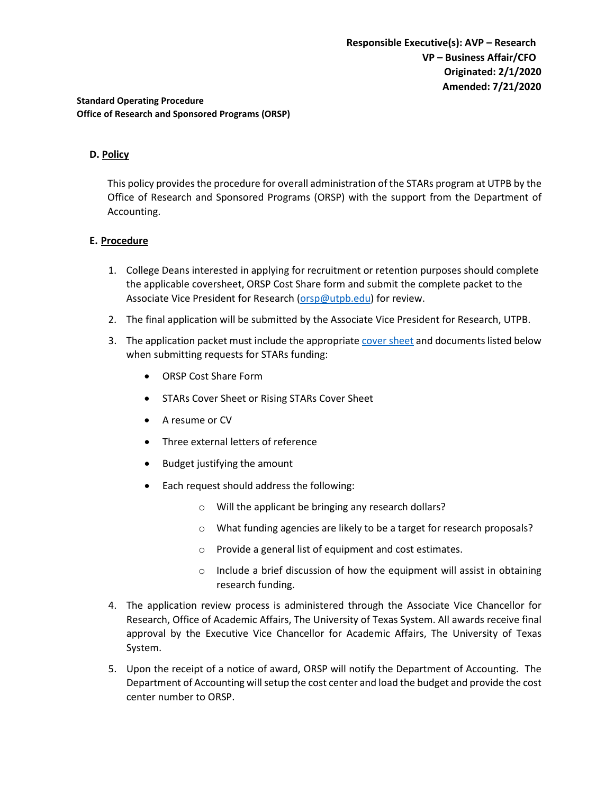### **Standard Operating Procedure Office of Research and Sponsored Programs (ORSP)**

## **D. Policy**

This policy provides the procedure for overall administration of the STARs program at UTPB by the Office of Research and Sponsored Programs (ORSP) with the support from the Department of Accounting.

### **E. Procedure**

- 1. College Deans interested in applying for recruitment or retention purposes should complete the applicable coversheet, ORSP Cost Share form and submit the complete packet to the Associate Vice President for Research [\(orsp@utpb.edu\)](mailto:orsp@utpb.edu) for review.
- 2. The final application will be submitted by the Associate Vice President for Research, UTPB.
- 3. The application packet must include the appropriate [cover sheet](https://www.utsystem.edu/offices/academic-affairs/research/stars-program) and documents listed below when submitting requests for STARs funding:
	- ORSP Cost Share Form
	- STARs Cover Sheet or Rising STARs Cover Sheet
	- A resume or CV
	- Three external letters of reference
	- Budget justifying the amount
	- Each request should address the following:
		- o Will the applicant be bringing any research dollars?
		- o What funding agencies are likely to be a target for research proposals?
		- o Provide a general list of equipment and cost estimates.
		- o Include a brief discussion of how the equipment will assist in obtaining research funding.
- 4. The application review process is administered through the Associate Vice Chancellor for Research, Office of Academic Affairs, The University of Texas System. All awards receive final approval by the Executive Vice Chancellor for Academic Affairs, The University of Texas System.
- 5. Upon the receipt of a notice of award, ORSP will notify the Department of Accounting. The Department of Accounting will setup the cost center and load the budget and provide the cost center number to ORSP.